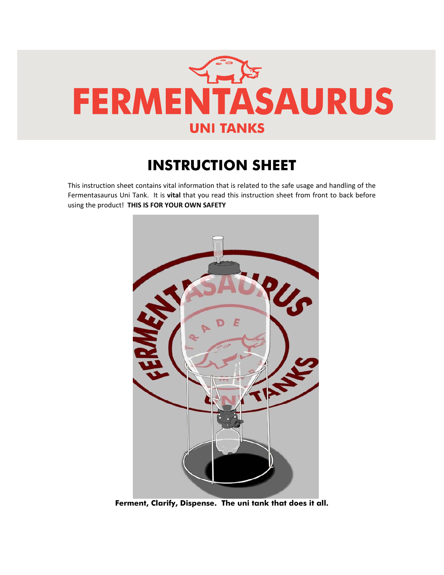

## **INSTRUCTION SHEET**

This instruction sheet contains vital information that is related to the safe usage and handling of the Fermentasaurus Uni Tank. It is **vital** that you read this instruction sheet from front to back before using the product! **THIS IS FOR YOUR OWN SAFETY**



**Ferment, Clarify, Dispense. The uni tank that does it all.**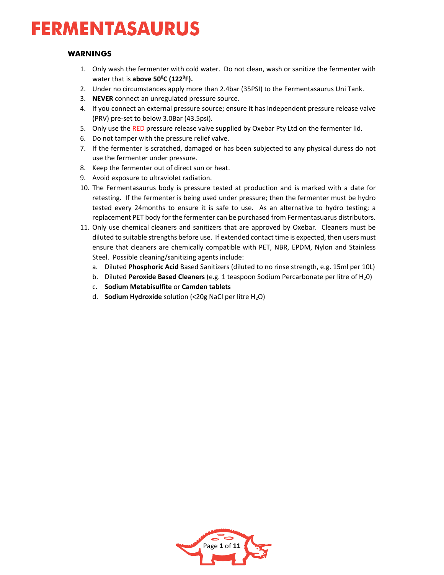## **WARNINGS**

- 1. Only wash the fermenter with cold water. Do not clean, wash or sanitize the fermenter with water that is **above 500 C (1220 F).**
- 2. Under no circumstances apply more than 2.4bar (35PSI) to the Fermentasaurus Uni Tank.
- 3. **NEVER** connect an unregulated pressure source.
- 4. If you connect an external pressure source; ensure it has independent pressure release valve (PRV) pre‐set to below 3.0Bar (43.5psi).
- 5. Only use the RED pressure release valve supplied by Oxebar Pty Ltd on the fermenter lid.
- 6. Do not tamper with the pressure relief valve.
- 7. If the fermenter is scratched, damaged or has been subjected to any physical duress do not use the fermenter under pressure.
- 8. Keep the fermenter out of direct sun or heat.
- 9. Avoid exposure to ultraviolet radiation.
- 10. The Fermentasaurus body is pressure tested at production and is marked with a date for retesting. If the fermenter is being used under pressure; then the fermenter must be hydro tested every 24months to ensure it is safe to use. As an alternative to hydro testing; a replacement PET body for the fermenter can be purchased from Fermentasuarus distributors.
- 11. Only use chemical cleaners and sanitizers that are approved by Oxebar. Cleaners must be diluted to suitable strengths before use. If extended contact time is expected, then users must ensure that cleaners are chemically compatible with PET, NBR, EPDM, Nylon and Stainless Steel. Possible cleaning/sanitizing agents include:
	- a. Diluted **Phosphoric Acid** Based Sanitizers (diluted to no rinse strength, e.g. 15ml per 10L)
	- b. Diluted **Peroxide Based Cleaners** (e.g. 1 teaspoon Sodium Percarbonate per litre of H20)
	- c. **Sodium Metabisulfite** or **Camden tablets**
	- d. **Sodium Hydroxide** solution (<20g NaCl per litre H<sub>2</sub>O)

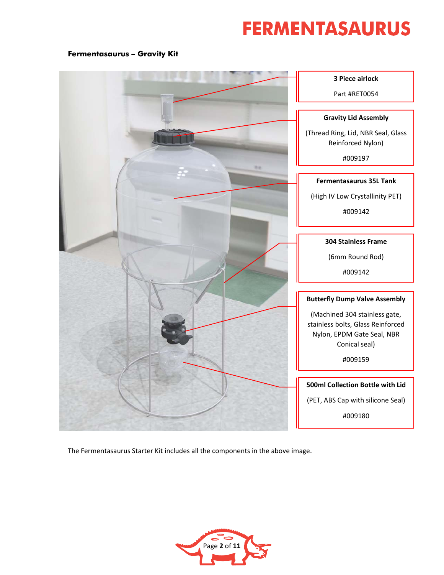#### **Fermentasaurus – Gravity Kit**



The Fermentasaurus Starter Kit includes all the components in the above image.

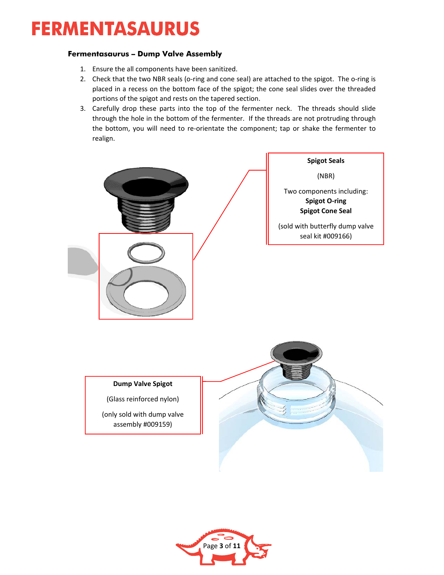### **Fermentasaurus – Dump Valve Assembly**

- 1. Ensure the all components have been sanitized.
- 2. Check that the two NBR seals (o-ring and cone seal) are attached to the spigot. The o-ring is placed in a recess on the bottom face of the spigot; the cone seal slides over the threaded portions of the spigot and rests on the tapered section.
- 3. Carefully drop these parts into the top of the fermenter neck. The threads should slide through the hole in the bottom of the fermenter. If the threads are not protruding through the bottom, you will need to re‐orientate the component; tap or shake the fermenter to realign.



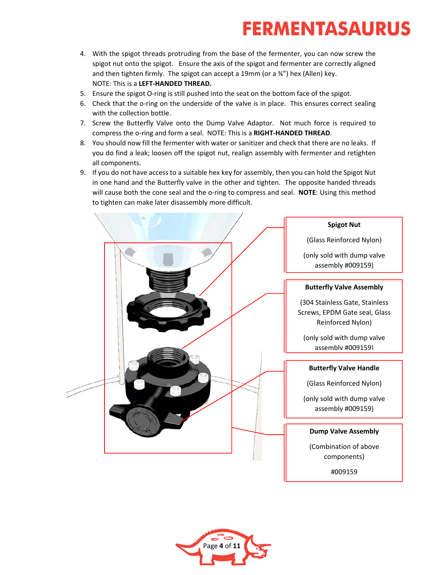- 4. With the spigot threads protruding from the base of the fermenter, you can now screw the spigot nut onto the spigot. Ensure the axis of the spigot and fermenter are correctly aligned and then tighten firmly. The spigot can accept a 19mm (or a 34") hex (Allen) key. NOTE: This is a **LEFT‐HANDED THREAD.**
- 5. Ensure the spigot O-ring is still pushed into the seat on the bottom face of the spigot.
- 6. Check that the o-ring on the underside of the valve is in place. This ensures correct sealing with the collection bottle.
- 7. Screw the Butterfly Valve onto the Dump Valve Adaptor. Not much force is required to compress the o‐ring and form a seal. NOTE: This is a **RIGHT‐HANDED THREAD**.
- 8. You should now fill the fermenter with water or sanitizer and check that there are no leaks. If you do find a leak; loosen off the spigot nut, realign assembly with fermenter and retighten all components.
- 9. If you do not have access to a suitable hex key for assembly, then you can hold the Spigot Nut in one hand and the Butterfly valve in the other and tighten. The opposite handed threads will cause both the cone seal and the o-ring to compress and seal. **NOTE:** Using this method to tighten can make later disassembly more difficult.



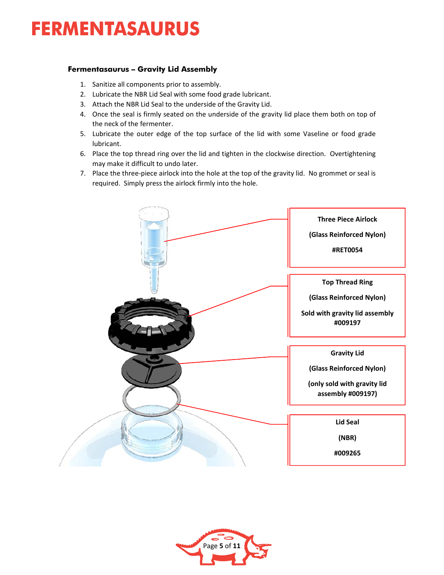### **Fermentasaurus – Gravity Lid Assembly**

- 1. Sanitize all components prior to assembly.
- 2. Lubricate the NBR Lid Seal with some food grade lubricant.
- 3. Attach the NBR Lid Seal to the underside of the Gravity Lid.
- 4. Once the seal is firmly seated on the underside of the gravity lid place them both on top of the neck of the fermenter.
- 5. Lubricate the outer edge of the top surface of the lid with some Vaseline or food grade lubricant.
- 6. Place the top thread ring over the lid and tighten in the clockwise direction. Overtightening may make it difficult to undo later.
- 7. Place the three-piece airlock into the hole at the top of the gravity lid. No grommet or seal is required. Simply press the airlock firmly into the hole.



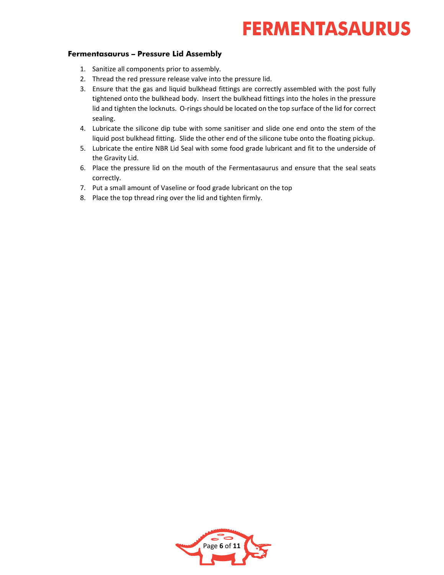#### **Fermentasaurus – Pressure Lid Assembly**

- 1. Sanitize all components prior to assembly.
- 2. Thread the red pressure release valve into the pressure lid.
- 3. Ensure that the gas and liquid bulkhead fittings are correctly assembled with the post fully tightened onto the bulkhead body. Insert the bulkhead fittings into the holes in the pressure lid and tighten the locknuts. O-rings should be located on the top surface of the lid for correct sealing.
- 4. Lubricate the silicone dip tube with some sanitiser and slide one end onto the stem of the liquid post bulkhead fitting. Slide the other end of the silicone tube onto the floating pickup.
- 5. Lubricate the entire NBR Lid Seal with some food grade lubricant and fit to the underside of the Gravity Lid.
- 6. Place the pressure lid on the mouth of the Fermentasaurus and ensure that the seal seats correctly.
- 7. Put a small amount of Vaseline or food grade lubricant on the top
- 8. Place the top thread ring over the lid and tighten firmly.

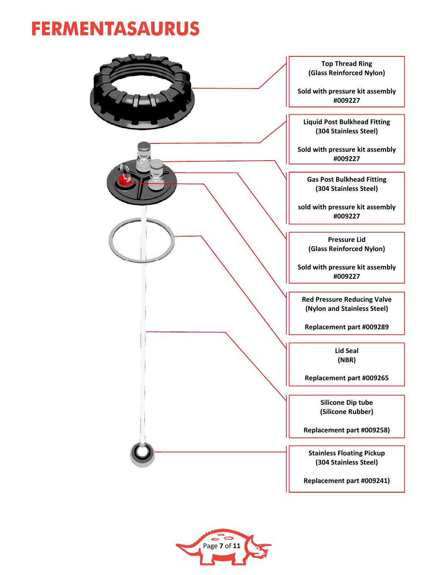

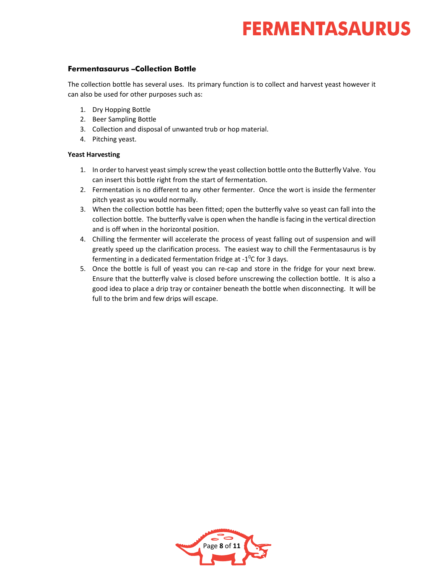#### **Fermentasaurus –Collection Bottle**

The collection bottle has several uses. Its primary function is to collect and harvest yeast however it can also be used for other purposes such as:

- 1. Dry Hopping Bottle
- 2. Beer Sampling Bottle
- 3. Collection and disposal of unwanted trub or hop material.
- 4. Pitching yeast.

#### **Yeast Harvesting**

- 1. In order to harvest yeast simply screw the yeast collection bottle onto the Butterfly Valve. You can insert this bottle right from the start of fermentation.
- 2. Fermentation is no different to any other fermenter. Once the wort is inside the fermenter pitch yeast as you would normally.
- 3. When the collection bottle has been fitted; open the butterfly valve so yeast can fall into the collection bottle. The butterfly valve is open when the handle isfacing in the vertical direction and is off when in the horizontal position.
- 4. Chilling the fermenter will accelerate the process of yeast falling out of suspension and will greatly speed up the clarification process. The easiest way to chill the Fermentasaurus is by fermenting in a dedicated fermentation fridge at -1<sup>o</sup>C for 3 days.
- 5. Once the bottle is full of yeast you can re-cap and store in the fridge for your next brew. Ensure that the butterfly valve is closed before unscrewing the collection bottle. It is also a good idea to place a drip tray or container beneath the bottle when disconnecting. It will be full to the brim and few drips will escape.

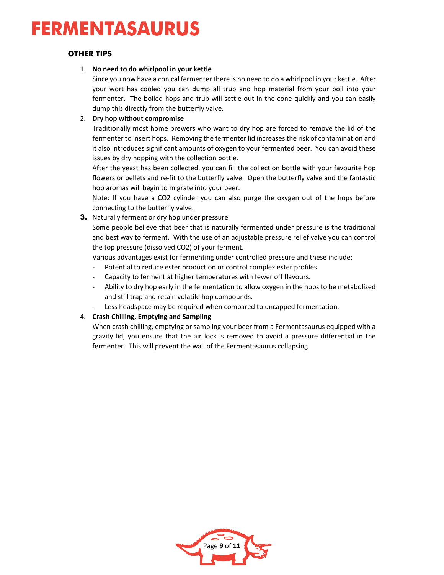## **OTHER TIPS**

1. **No need to do whirlpool in your kettle**

Since you now have a conical fermenter there is no need to do a whirlpool in your kettle. After your wort has cooled you can dump all trub and hop material from your boil into your fermenter. The boiled hops and trub will settle out in the cone quickly and you can easily dump this directly from the butterfly valve.

### 2. **Dry hop without compromise**

Traditionally most home brewers who want to dry hop are forced to remove the lid of the fermenter to insert hops. Removing the fermenter lid increases the risk of contamination and it also introduces significant amounts of oxygen to your fermented beer. You can avoid these issues by dry hopping with the collection bottle.

After the yeast has been collected, you can fill the collection bottle with your favourite hop flowers or pellets and re‐fit to the butterfly valve. Open the butterfly valve and the fantastic hop aromas will begin to migrate into your beer.

Note: If you have a CO2 cylinder you can also purge the oxygen out of the hops before connecting to the butterfly valve.

**3.** Naturally ferment or dry hop under pressure

Some people believe that beer that is naturally fermented under pressure is the traditional and best way to ferment. With the use of an adjustable pressure relief valve you can control the top pressure (dissolved CO2) of your ferment.

Various advantages exist for fermenting under controlled pressure and these include:

- Potential to reduce ester production or control complex ester profiles.
- ‐ Capacity to ferment at higher temperatures with fewer off flavours.
- ‐ Ability to dry hop early in the fermentation to allow oxygen in the hops to be metabolized and still trap and retain volatile hop compounds.
- Less headspace may be required when compared to uncapped fermentation.

### 4. **Crash Chilling, Emptying and Sampling**

When crash chilling, emptying or sampling your beer from a Fermentasaurus equipped with a gravity lid, you ensure that the air lock is removed to avoid a pressure differential in the fermenter. This will prevent the wall of the Fermentasaurus collapsing.

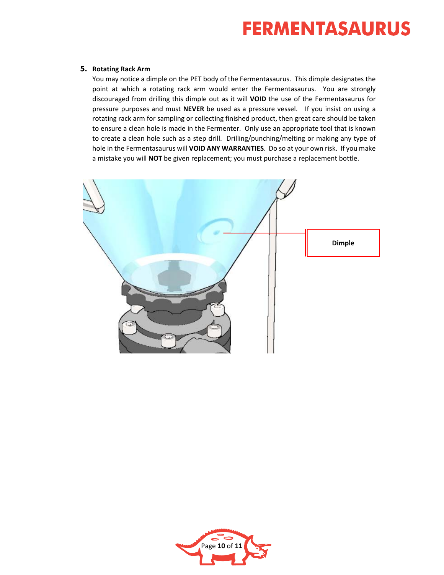#### **5. Rotating Rack Arm**

You may notice a dimple on the PET body of the Fermentasaurus. This dimple designates the point at which a rotating rack arm would enter the Fermentasaurus. You are strongly discouraged from drilling this dimple out as it will **VOID** the use of the Fermentasaurus for pressure purposes and must **NEVER** be used as a pressure vessel. If you insist on using a rotating rack arm for sampling or collecting finished product, then great care should be taken to ensure a clean hole is made in the Fermenter. Only use an appropriate tool that is known to create a clean hole such as a step drill. Drilling/punching/melting or making any type of hole in the Fermentasaurus will **VOID ANY WARRANTIES**. Do so at your own risk. If you make a mistake you will **NOT** be given replacement; you must purchase a replacement bottle.